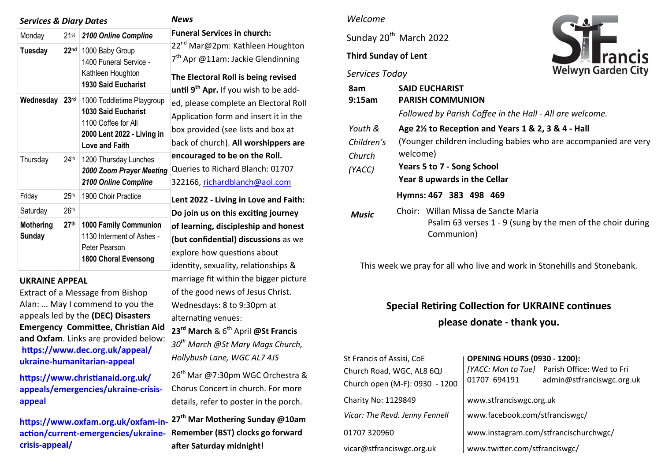| <b>Services &amp; Diary Dates</b> |                  |                                                                                                                                | <b>News</b>                                                                                                                                                                              |  |
|-----------------------------------|------------------|--------------------------------------------------------------------------------------------------------------------------------|------------------------------------------------------------------------------------------------------------------------------------------------------------------------------------------|--|
| Monday                            | $21$ st          | 2100 Online Compline                                                                                                           | <b>Funeral Services in church:</b>                                                                                                                                                       |  |
| <b>Tuesday</b>                    | 22 <sub>nd</sub> | 1000 Baby Group<br>1400 Funeral Service -<br>Kathleen Houghton<br><b>1930 Said Eucharist</b>                                   | 22 <sup>nd</sup> Mar@2pm: Kathleen Houghton<br>7 <sup>th</sup> Apr @11am: Jackie Glendinning<br>The Electoral Roll is being revised<br>until 9 <sup>th</sup> Apr. If you wish to be add- |  |
| Wednesday                         | 23 <sup>rd</sup> | 1000 Toddletime Playgroup<br>1030 Said Eucharist<br>1100 Coffee for All<br>2000 Lent 2022 - Living in<br><b>Love and Faith</b> | ed, please complete an Electoral Roll<br>Application form and insert it in the<br>box provided (see lists and box at<br>back of church). All worshippers are                             |  |
| Thursday                          | 24 <sup>th</sup> | 1200 Thursday Lunches<br>2000 Zoom Prayer Meeting<br>2100 Online Compline                                                      | encouraged to be on the Roll.<br>Queries to Richard Blanch: 01707<br>322166, richardblanch@aol.com                                                                                       |  |
| Friday                            | 25 <sup>th</sup> | 1900 Choir Practice                                                                                                            | Lent 2022 - Living in Love and Faith:                                                                                                                                                    |  |
| Saturday                          | 26 <sup>th</sup> |                                                                                                                                | Do join us on this exciting journey                                                                                                                                                      |  |
| <b>Mothering</b><br><b>Sunday</b> | 27 <sup>th</sup> | <b>1000 Family Communion</b><br>1130 Interment of Ashes -<br>Peter Pearson<br><b>1800 Choral Evensong</b>                      | of learning, discipleship and honest<br>(but confidential) discussions as we<br>explore how questions about<br>identity, sexuality, relationships &                                      |  |

#### **UKRAINE APPEAL**

Extract of a Message from Bishop Alan: … May I commend to you the appeals led by the **(DEC) Disasters Emergency Committee, Christian Aid and Oxfam**. Links are provided below: **[https://www.dec.org.uk/appeal/](https://anglican.us1.list-manage.com/track/click?u=a47f5026eff04afcd10f4be32&id=eca4fb2ebd&e=9bd968f2dc) ukraine-[humanitarian](https://anglican.us1.list-manage.com/track/click?u=a47f5026eff04afcd10f4be32&id=eca4fb2ebd&e=9bd968f2dc)-appeal**

**[https://www.christianaid.org.uk/](https://anglican.us1.list-manage.com/track/click?u=a47f5026eff04afcd10f4be32&id=eeb2143e96&e=9bd968f2dc) [appeals/emergencies/ukraine](https://anglican.us1.list-manage.com/track/click?u=a47f5026eff04afcd10f4be32&id=eeb2143e96&e=9bd968f2dc)-crisis[appeal](https://anglican.us1.list-manage.com/track/click?u=a47f5026eff04afcd10f4be32&id=eeb2143e96&e=9bd968f2dc)**

**[https://www.oxfam.org.uk/oxfam](https://anglican.us1.list-manage.com/track/click?u=a47f5026eff04afcd10f4be32&id=95c6ec04f0&e=9bd968f2dc)-inaction/current-[emergencies/ukraine](https://anglican.us1.list-manage.com/track/click?u=a47f5026eff04afcd10f4be32&id=95c6ec04f0&e=9bd968f2dc)crisis-[appeal/](https://anglican.us1.list-manage.com/track/click?u=a47f5026eff04afcd10f4be32&id=95c6ec04f0&e=9bd968f2dc) 27th Mar Mothering Sunday @10am Remember (BST) clocks go forward after Saturday midnight!** 

## *Welcome*

Sunday 20<sup>th</sup> March 2022

# **Third Sunday of Lent**

#### *Services Today*

marriage fit within the bigger picture of the good news of Jesus Christ. Wednesdays: 8 to 9:30pm at

**23rd March** & 6th April **@St Francis**  *30th March @St Mary Mags Church,* 

26<sup>th</sup> Mar @7:30pm WGC Orchestra & Chorus Concert in church. For more details, refer to poster in the porch.

*Hollybush Lane, WGC AL7 4JS* 

alternating venues:



| 8am<br>9:15am | <b>SAID EUCHARIST</b><br><b>PARISH COMMUNION</b>                                                                |  |  |  |
|---------------|-----------------------------------------------------------------------------------------------------------------|--|--|--|
|               | Followed by Parish Coffee in the Hall - All are welcome.                                                        |  |  |  |
| Youth &       | Age 2 <sup>1/2</sup> to Reception and Years 1 & 2, 3 & 4 - Hall                                                 |  |  |  |
| Children's    | (Younger children including babies who are accompanied are very                                                 |  |  |  |
| Church        | welcome)                                                                                                        |  |  |  |
| (YACC)        | Years 5 to 7 - Song School<br>Year 8 upwards in the Cellar                                                      |  |  |  |
|               |                                                                                                                 |  |  |  |
|               | Hymns: 467 383 498 469                                                                                          |  |  |  |
| Music         | Choir: Willan Missa de Sancte Maria<br>Psalm 63 verses 1 - 9 (sung by the men of the choir during<br>Communion) |  |  |  |

This week we pray for all who live and work in Stonehills and Stonebank.

# **Special Retiring Collection for UKRAINE continues please donate - thank you.**

| St Francis of Assisi, CoE      | <b>OPENING HOURS (0930 - 1200):</b>   |                                              |  |
|--------------------------------|---------------------------------------|----------------------------------------------|--|
| Church Road, WGC, AL8 6QJ      |                                       | [YACC: Mon to Tue] Parish Office: Wed to Fri |  |
| Church open (M-F): 0930 - 1200 | 01707 694191                          | admin@stfranciswgc.org.uk                    |  |
| Charity No: 1129849            | www.stfranciswgc.org.uk               |                                              |  |
| Vicar: The Revd. Jenny Fennell | www.facebook.com/stfranciswgc/        |                                              |  |
| 01707 320960                   | www.instagram.com/stfrancischurchwgc/ |                                              |  |
| vicar@stfranciswgc.org.uk      | www.twitter.com/stfranciswgc/         |                                              |  |